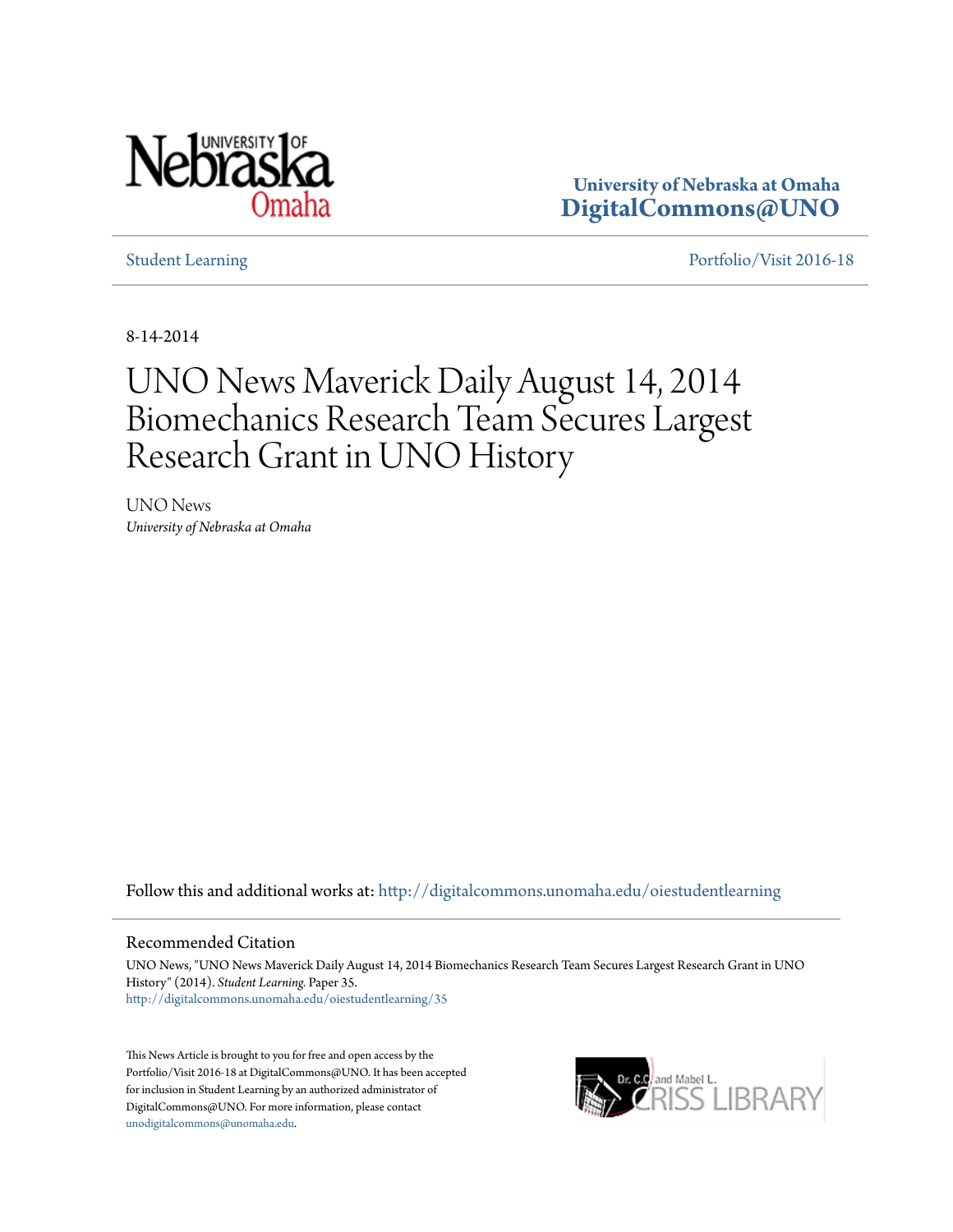

**University of Nebraska at Omaha [DigitalCommons@UNO](http://digitalcommons.unomaha.edu?utm_source=digitalcommons.unomaha.edu%2Foiestudentlearning%2F35&utm_medium=PDF&utm_campaign=PDFCoverPages)**

[Student Learning](http://digitalcommons.unomaha.edu/oiestudentlearning?utm_source=digitalcommons.unomaha.edu%2Foiestudentlearning%2F35&utm_medium=PDF&utm_campaign=PDFCoverPages) **[Portfolio/Visit 2016-18](http://digitalcommons.unomaha.edu/oieportfolio?utm_source=digitalcommons.unomaha.edu%2Foiestudentlearning%2F35&utm_medium=PDF&utm_campaign=PDFCoverPages)** 

8-14-2014

## UNO News Maverick Daily August 14, 2014 Biomechanics Research Team Secures Largest Research Grant in UNO History

UNO News *University of Nebraska at Omaha*

Follow this and additional works at: [http://digitalcommons.unomaha.edu/oiestudentlearning](http://digitalcommons.unomaha.edu/oiestudentlearning?utm_source=digitalcommons.unomaha.edu%2Foiestudentlearning%2F35&utm_medium=PDF&utm_campaign=PDFCoverPages)

## Recommended Citation

UNO News, "UNO News Maverick Daily August 14, 2014 Biomechanics Research Team Secures Largest Research Grant in UNO History" (2014). *Student Learning.* Paper 35. [http://digitalcommons.unomaha.edu/oiestudentlearning/35](http://digitalcommons.unomaha.edu/oiestudentlearning/35?utm_source=digitalcommons.unomaha.edu%2Foiestudentlearning%2F35&utm_medium=PDF&utm_campaign=PDFCoverPages)

This News Article is brought to you for free and open access by the Portfolio/Visit 2016-18 at DigitalCommons@UNO. It has been accepted for inclusion in Student Learning by an authorized administrator of DigitalCommons@UNO. For more information, please contact [unodigitalcommons@unomaha.edu](mailto:unodigitalcommons@unomaha.edu).

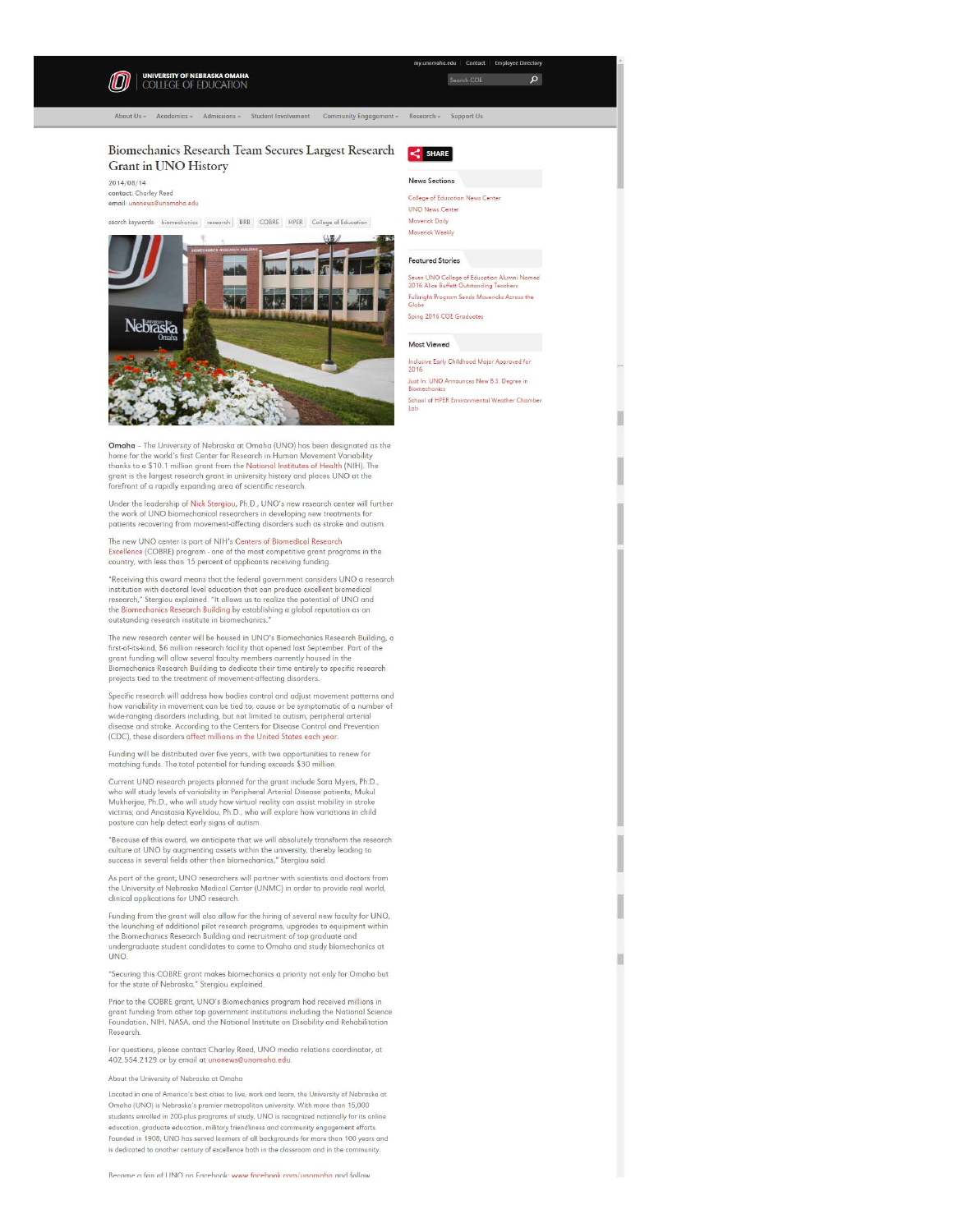

I

I

I

I

I

I

clinical applications for UNO research. Funding from the grant will olso allow for the hiring of several new faculty for UNO, the launching of additional pilot research programs, upgrades to equipment within

the Biomechonics Research Building and recruitment of top graduate and undergraduate student candidates to come to Omaha and study biomechanics at UNO.

"Securing this COBRE grant makes biomechanics a priority not only for Omaha but for the state of Nebraska," Stergiou explained.

Prior to the COBRE grant, UNO's Biomechanics program hod received millions in gront funding from other top government institutions including the Notional Science Foundation, NIH, NASA, and the Notional Institute on Disability and Rehabilitation Research

For questions, please contact Chorley Reed, UNO media relations coordinator, at 402.554.2129 or by email at unonews@unomaho.edu

## About the University of Nebraska ot Omaha

Located in one of America's best cities to live, work and learn, the University of Nebraska at Omaha (UNO) is Nebraska's premier metropolitan university. With more than 15,000 students enrolled in 200-plus programs of study, UNO is recognized nationally for its online education, graduate education, military friendliness and community engagement efforts Founded in 1908, UNO hos served learners of oll backgrounds for more than 100 years ond is dedicated to another century of excellence both in the classroom and in the co